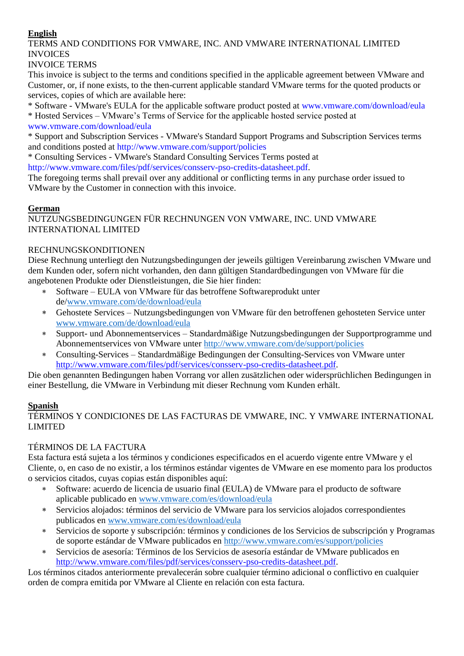## **English**

# TERMS AND CONDITIONS FOR VMWARE, INC. AND VMWARE INTERNATIONAL LIMITED INVOICES

#### INVOICE TERMS

This invoice is subject to the terms and conditions specified in the applicable agreement between VMware and Customer, or, if none exists, to the then-current applicable standard VMware terms for the quoted products or services, copies of which are available here:

\* Software - VMware's EULA for the applicable software product posted at www.vmware.com/download/eula

\* Hosted Services – VMware's Terms of Service for the applicable hosted service posted at www.vmware.com/download/eula

\* Support and Subscription Services - VMware's Standard Support Programs and Subscription Services terms and conditions posted at http://www.vmware.com/support/policies

\* Consulting Services - VMware's Standard Consulting Services Terms posted at http://www.vmware.com/files/pdf/services/consserv-pso-credits-datasheet.pdf.

The foregoing terms shall prevail over any additional or conflicting terms in any purchase order issued to VMware by the Customer in connection with this invoice.

#### **German**

NUTZUNGSBEDINGUNGEN FÜR RECHNUNGEN VON VMWARE, INC. UND VMWARE INTERNATIONAL LIMITED

## RECHNUNGSKONDITIONEN

Diese Rechnung unterliegt den Nutzungsbedingungen der jeweils gültigen Vereinbarung zwischen VMware und dem Kunden oder, sofern nicht vorhanden, den dann gültigen Standardbedingungen von VMware für die angebotenen Produkte oder Dienstleistungen, die Sie hier finden:

- Software EULA von VMware für das betroffene Softwareprodukt unter de[/www.vmware.com/de/download/eula](http://www.vmware.com/de/download/eula)
- Gehostete Services Nutzungsbedingungen von VMware für den betroffenen gehosteten Service unter [www.vmware.com/de/download/eula](http://www.vmware.com/de/download/eula)
- Support- und Abonnementservices Standardmäßige Nutzungsbedingungen der Supportprogramme und Abonnementservices von VMware unter<http://www.vmware.com/de/support/policies>
- Consulting-Services Standardmäßige Bedingungen der Consulting-Services von VMware unter [http://www.vmware.com/files/pdf/services/consserv-pso-credits-datasheet.pdf.](http://www.vmware.com/files/pdf/services/consserv-pso-credits-datasheet.pdf)

Die oben genannten Bedingungen haben Vorrang vor allen zusätzlichen oder widersprüchlichen Bedingungen in einer Bestellung, die VMware in Verbindung mit dieser Rechnung vom Kunden erhält.

# **Spanish**

TÉRMINOS Y CONDICIONES DE LAS FACTURAS DE VMWARE, INC. Y VMWARE INTERNATIONAL LIMITED

# TÉRMINOS DE LA FACTURA

Esta factura está sujeta a los términos y condiciones especificados en el acuerdo vigente entre VMware y el Cliente, o, en caso de no existir, a los términos estándar vigentes de VMware en ese momento para los productos o servicios citados, cuyas copias están disponibles aquí:

- Software: acuerdo de licencia de usuario final (EULA) de VMware para el producto de software aplicable publicado en [www.vmware.com/es/download/eula](http://www.vmware.com/es/download/eula)
- Servicios alojados: términos del servicio de VMware para los servicios alojados correspondientes publicados en [www.vmware.com/es/download/eula](http://www.vmware.com/es/download/eula)
- Servicios de soporte y subscripción: términos y condiciones de los Servicios de subscripción y Programas de soporte estándar de VMware publicados en<http://www.vmware.com/es/support/policies>
- Servicios de asesoría: Términos de los Servicios de asesoría estándar de VMware publicados en [http://www.vmware.com/files/pdf/services/consserv-pso-credits-datasheet.pdf.](http://www.vmware.com/files/pdf/services/consserv-pso-credits-datasheet.pdf)

Los términos citados anteriormente prevalecerán sobre cualquier término adicional o conflictivo en cualquier orden de compra emitida por VMware al Cliente en relación con esta factura.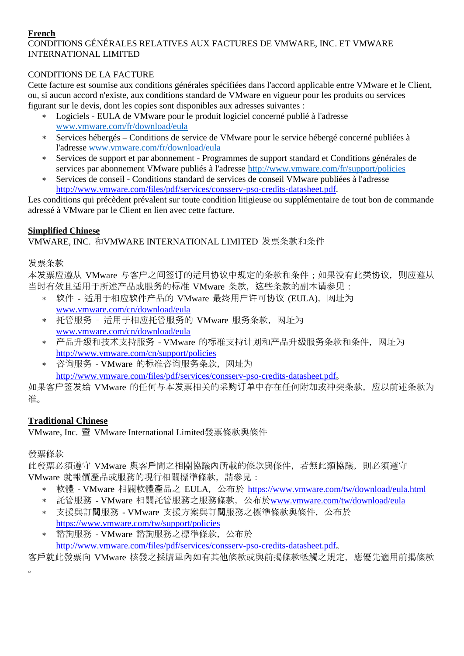#### **French**

# CONDITIONS GÉNÉRALES RELATIVES AUX FACTURES DE VMWARE, INC. ET VMWARE INTERNATIONAL LIMITED

#### CONDITIONS DE LA FACTURE

Cette facture est soumise aux conditions générales spécifiées dans l'accord applicable entre VMware et le Client, ou, si aucun accord n'existe, aux conditions standard de VMware en vigueur pour les produits ou services figurant sur le devis, dont les copies sont disponibles aux adresses suivantes :

- Logiciels EULA de VMware pour le produit logiciel concerné publié à l'adresse [www.vmware.com/fr/download/eula](http://www.vmware.com/fr/download/eula)
- Services hébergés Conditions de service de VMware pour le service hébergé concerné publiées à l'adresse [www.vmware.com/fr/download/eula](http://www.vmware.com/fr/download/eula)
- Services de support et par abonnement Programmes de support standard et Conditions générales de services par abonnement VMware publiés à l'adresse<http://www.vmware.com/fr/support/policies>
- Services de conseil Conditions standard de services de conseil VMware publiées à l'adresse [http://www.vmware.com/files/pdf/services/consserv-pso-credits-datasheet.pdf.](http://www.vmware.com/files/pdf/services/consserv-pso-credits-datasheet.pdf)

Les conditions qui précèdent prévalent sur toute condition litigieuse ou supplémentaire de tout bon de commande adressé à VMware par le Client en lien avec cette facture.

## **Simplified Chinese**

# VMWARE, INC. 和VMWARE INTERNATIONAL LIMITED 发票条款和条件

发票条款

本发票应遵从 VMware 与客户之间签订的适用协议中规定的条款和条件;如果没有此类协议, 则应遵从 当时有效且适用于所述产品或服务的标准 VMware 条款, 这些条款的副本请参见:

- 软件 适用于相应软件产品的 VMware 最终用户许可协议 (EULA),网址为 [www.vmware.com/cn/download/eula](http://www.vmware.com/cn/download/eula)
- 托管服务 适用于相应托管服务的 VMware 服务条款,网址为 [www.vmware.com/cn/download/eula](http://www.vmware.com/cn/download/eula)
- 产品升级和技术支持服务 VMware 的标准支持计划和产品升级服务条款和条件,网址为 <http://www.vmware.com/cn/support/policies>
- 咨询服务 VMware 的标准咨询服务条款,网址为 <http://www.vmware.com/files/pdf/services/consserv-pso-credits-datasheet.pdf>。

如果客户签发给 VMware 的任何与本发票相关的采购订单中存在任何附加或冲突条款,应以前述条款为 准。

# **Traditional Chinese**

VMware, Inc. 暨 VMware International Limited發票條款與條件

#### 發票條款

此發票必須遵守 VMware 與客戶間之相關協議內所載的條款與條件,若無此類協議,則必須遵守 VMware 就報價產品或服務的現行相關標準條款,請參見:

- 軟體 VMware 相關軟體產品之 EULA,公布於 [https://www.vmware.com/tw/download/eula.html](http://www.vmware.com/tw/download/eula)
- 託管服務 VMware 相關託管服務之服務條款,公布於[www.vmware.com/tw/download/eula](http://www.vmware.com/tw/download/eula)
- 支援與訂閱服務 VMware 支援方案與訂閱服務之標準條款與條件,公布於 <https://www.vmware.com/tw/support/policies>
- 諮詢服務 VMware 諮詢服務之標準條款,公布於 <http://www.vmware.com/files/pdf/services/consserv-pso-credits-datasheet.pdf>。

客戶就此發票向 VMware 核發之採購單內如有其他條款或與前揭條款牴觸之規定, 應優先適用前揭條款  $\sim$